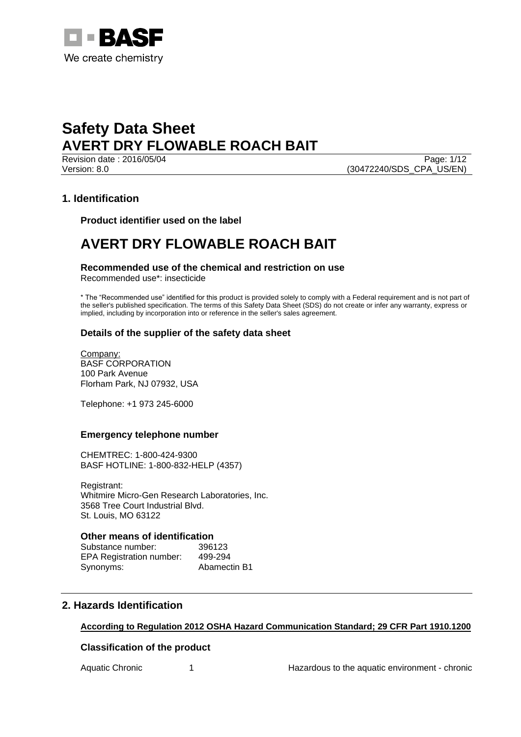

Page: 1/12 Version: 8.0 (30472240/SDS\_CPA\_US/EN)

# **1. Identification**

**Product identifier used on the label**

# **AVERT DRY FLOWABLE ROACH BAIT**

# **Recommended use of the chemical and restriction on use**

Recommended use\*: insecticide

\* The "Recommended use" identified for this product is provided solely to comply with a Federal requirement and is not part of the seller's published specification. The terms of this Safety Data Sheet (SDS) do not create or infer any warranty, express or implied, including by incorporation into or reference in the seller's sales agreement.

# **Details of the supplier of the safety data sheet**

Company: BASF CORPORATION 100 Park Avenue Florham Park, NJ 07932, USA

Telephone: +1 973 245-6000

# **Emergency telephone number**

CHEMTREC: 1-800-424-9300 BASF HOTLINE: 1-800-832-HELP (4357)

Registrant: Whitmire Micro-Gen Research Laboratories, Inc. 3568 Tree Court Industrial Blvd. St. Louis, MO 63122

# **Other means of identification**

Substance number: 396123 EPA Registration number: 499-294 Synonyms: Abamectin B1

# **2. Hazards Identification**

# **According to Regulation 2012 OSHA Hazard Communication Standard; 29 CFR Part 1910.1200**

# **Classification of the product**

Aquatic Chronic 1 1 Hazardous to the aquatic environment - chronic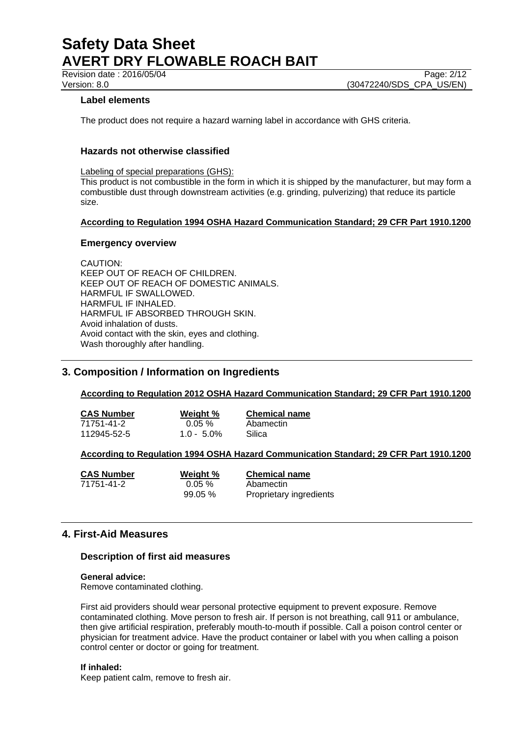Revision date : 2016/05/04 Page: 2/12

Version: 8.0 (30472240/SDS\_CPA\_US/EN)

# **Label elements**

The product does not require a hazard warning label in accordance with GHS criteria.

# **Hazards not otherwise classified**

Labeling of special preparations (GHS):

This product is not combustible in the form in which it is shipped by the manufacturer, but may form a combustible dust through downstream activities (e.g. grinding, pulverizing) that reduce its particle size.

## **According to Regulation 1994 OSHA Hazard Communication Standard; 29 CFR Part 1910.1200**

## **Emergency overview**

CAUTION: KEEP OUT OF REACH OF CHILDREN. KEEP OUT OF REACH OF DOMESTIC ANIMALS. HARMFUL IF SWALLOWED. HARMFUL IF INHALED. HARMFUL IF ABSORBED THROUGH SKIN. Avoid inhalation of dusts. Avoid contact with the skin, eyes and clothing. Wash thoroughly after handling.

# **3. Composition / Information on Ingredients**

## **According to Regulation 2012 OSHA Hazard Communication Standard; 29 CFR Part 1910.1200**

| <b>CAS Number</b> | Weight %      | <b>Chemical name</b> |  |
|-------------------|---------------|----------------------|--|
| 71751-41-2        | $0.05 \%$     | Abamectin            |  |
| 112945-52-5       | $1.0 - 5.0\%$ | Silica               |  |

## **According to Regulation 1994 OSHA Hazard Communication Standard; 29 CFR Part 1910.1200**

71751-41-2 0.05 % Abamectin

**CAS Number Weight % Chemical name** 99.05 % Proprietary ingredients

# **4. First-Aid Measures**

## **Description of first aid measures**

## **General advice:**

Remove contaminated clothing.

First aid providers should wear personal protective equipment to prevent exposure. Remove contaminated clothing. Move person to fresh air. If person is not breathing, call 911 or ambulance, then give artificial respiration, preferably mouth-to-mouth if possible. Call a poison control center or physician for treatment advice. Have the product container or label with you when calling a poison control center or doctor or going for treatment.

## **If inhaled:**

Keep patient calm, remove to fresh air.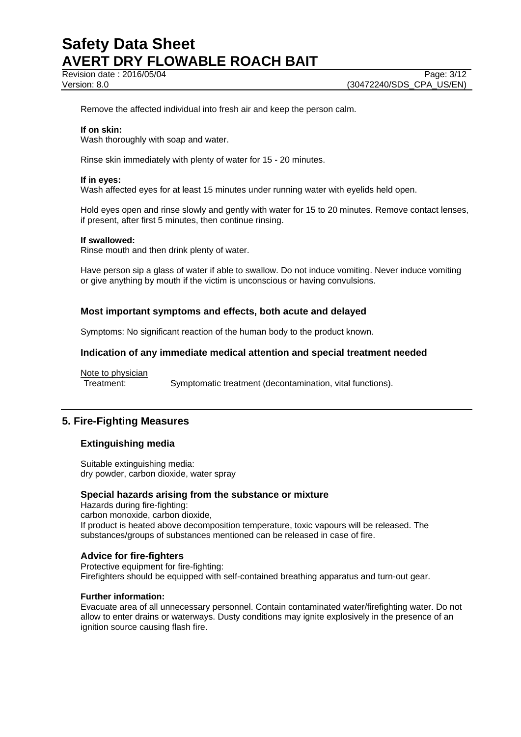Revision date : 2016/05/04 Page: 3/12

Remove the affected individual into fresh air and keep the person calm.

## **If on skin:**

Wash thoroughly with soap and water.

Rinse skin immediately with plenty of water for 15 - 20 minutes.

#### **If in eyes:**

Wash affected eyes for at least 15 minutes under running water with eyelids held open.

Hold eyes open and rinse slowly and gently with water for 15 to 20 minutes. Remove contact lenses, if present, after first 5 minutes, then continue rinsing.

#### **If swallowed:**

Rinse mouth and then drink plenty of water.

Have person sip a glass of water if able to swallow. Do not induce vomiting. Never induce vomiting or give anything by mouth if the victim is unconscious or having convulsions.

## **Most important symptoms and effects, both acute and delayed**

Symptoms: No significant reaction of the human body to the product known.

## **Indication of any immediate medical attention and special treatment needed**

Note to physician

Treatment: Symptomatic treatment (decontamination, vital functions).

# **5. Fire-Fighting Measures**

## **Extinguishing media**

Suitable extinguishing media: dry powder, carbon dioxide, water spray

# **Special hazards arising from the substance or mixture**

Hazards during fire-fighting: carbon monoxide, carbon dioxide, If product is heated above decomposition temperature, toxic vapours will be released. The substances/groups of substances mentioned can be released in case of fire.

## **Advice for fire-fighters**

Protective equipment for fire-fighting: Firefighters should be equipped with self-contained breathing apparatus and turn-out gear.

#### **Further information:**

Evacuate area of all unnecessary personnel. Contain contaminated water/firefighting water. Do not allow to enter drains or waterways. Dusty conditions may ignite explosively in the presence of an ignition source causing flash fire.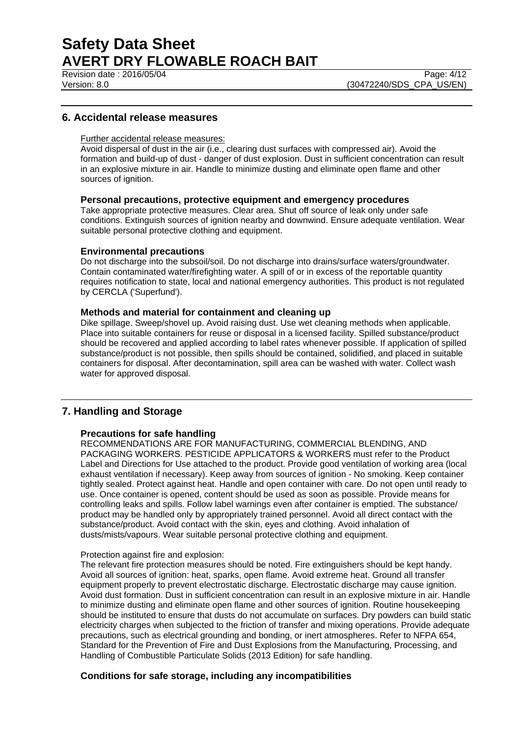Revision date : 2016/05/04 Page: 4/12

# **6. Accidental release measures**

# Further accidental release measures:

Avoid dispersal of dust in the air (i.e., clearing dust surfaces with compressed air). Avoid the formation and build-up of dust - danger of dust explosion. Dust in sufficient concentration can result in an explosive mixture in air. Handle to minimize dusting and eliminate open flame and other sources of ignition.

# **Personal precautions, protective equipment and emergency procedures**

Take appropriate protective measures. Clear area. Shut off source of leak only under safe conditions. Extinguish sources of ignition nearby and downwind. Ensure adequate ventilation. Wear suitable personal protective clothing and equipment.

#### **Environmental precautions**

Do not discharge into the subsoil/soil. Do not discharge into drains/surface waters/groundwater. Contain contaminated water/firefighting water. A spill of or in excess of the reportable quantity requires notification to state, local and national emergency authorities. This product is not regulated by CERCLA ('Superfund').

# **Methods and material for containment and cleaning up**

Dike spillage. Sweep/shovel up. Avoid raising dust. Use wet cleaning methods when applicable. Place into suitable containers for reuse or disposal in a licensed facility. Spilled substance/product should be recovered and applied according to label rates whenever possible. If application of spilled substance/product is not possible, then spills should be contained, solidified, and placed in suitable containers for disposal. After decontamination, spill area can be washed with water. Collect wash water for approved disposal.

# **7. Handling and Storage**

## **Precautions for safe handling**

RECOMMENDATIONS ARE FOR MANUFACTURING, COMMERCIAL BLENDING, AND PACKAGING WORKERS. PESTICIDE APPLICATORS & WORKERS must refer to the Product Label and Directions for Use attached to the product. Provide good ventilation of working area (local exhaust ventilation if necessary). Keep away from sources of ignition - No smoking. Keep container tightly sealed. Protect against heat. Handle and open container with care. Do not open until ready to use. Once container is opened, content should be used as soon as possible. Provide means for controlling leaks and spills. Follow label warnings even after container is emptied. The substance/ product may be handled only by appropriately trained personnel. Avoid all direct contact with the substance/product. Avoid contact with the skin, eyes and clothing. Avoid inhalation of dusts/mists/vapours. Wear suitable personal protective clothing and equipment.

#### Protection against fire and explosion:

The relevant fire protection measures should be noted. Fire extinguishers should be kept handy. Avoid all sources of ignition: heat, sparks, open flame. Avoid extreme heat. Ground all transfer equipment properly to prevent electrostatic discharge. Electrostatic discharge may cause ignition. Avoid dust formation. Dust in sufficient concentration can result in an explosive mixture in air. Handle to minimize dusting and eliminate open flame and other sources of ignition. Routine housekeeping should be instituted to ensure that dusts do not accumulate on surfaces. Dry powders can build static electricity charges when subjected to the friction of transfer and mixing operations. Provide adequate precautions, such as electrical grounding and bonding, or inert atmospheres. Refer to NFPA 654, Standard for the Prevention of Fire and Dust Explosions from the Manufacturing, Processing, and Handling of Combustible Particulate Solids (2013 Edition) for safe handling.

## **Conditions for safe storage, including any incompatibilities**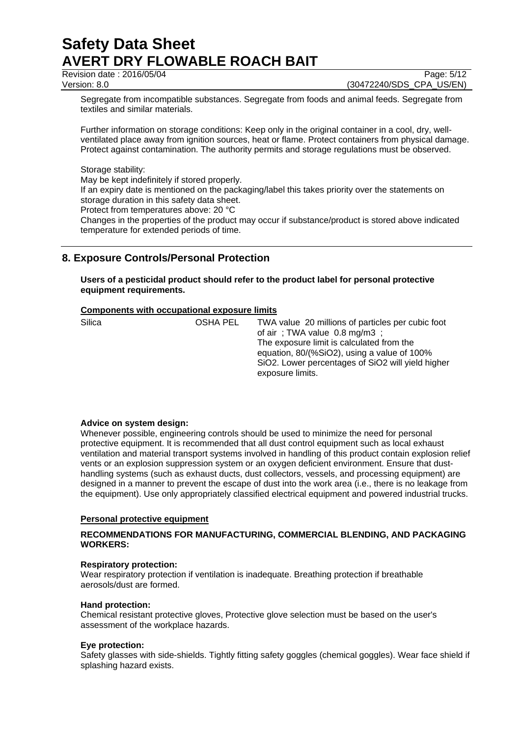Revision date : 2016/05/04 Page: 5/12

Version: 8.0 (30472240/SDS\_CPA\_US/EN)

Segregate from incompatible substances. Segregate from foods and animal feeds. Segregate from textiles and similar materials.

Further information on storage conditions: Keep only in the original container in a cool, dry, wellventilated place away from ignition sources, heat or flame. Protect containers from physical damage. Protect against contamination. The authority permits and storage regulations must be observed.

Storage stability:

May be kept indefinitely if stored properly.

If an expiry date is mentioned on the packaging/label this takes priority over the statements on storage duration in this safety data sheet.

Protect from temperatures above: 20 °C

Changes in the properties of the product may occur if substance/product is stored above indicated temperature for extended periods of time.

# **8. Exposure Controls/Personal Protection**

**Users of a pesticidal product should refer to the product label for personal protective equipment requirements.**

# **Components with occupational exposure limits**

| Silica | OSHA PEL | TWA value 20 millions of particles per cubic foot<br>of air; TWA value $0.8 \text{ mg/m3}$ ;<br>The exposure limit is calculated from the<br>equation, 80/(%SiO2), using a value of 100%<br>SiO2. Lower percentages of SiO2 will yield higher |
|--------|----------|-----------------------------------------------------------------------------------------------------------------------------------------------------------------------------------------------------------------------------------------------|
|        |          | exposure limits.                                                                                                                                                                                                                              |

## **Advice on system design:**

Whenever possible, engineering controls should be used to minimize the need for personal protective equipment. It is recommended that all dust control equipment such as local exhaust ventilation and material transport systems involved in handling of this product contain explosion relief vents or an explosion suppression system or an oxygen deficient environment. Ensure that dusthandling systems (such as exhaust ducts, dust collectors, vessels, and processing equipment) are designed in a manner to prevent the escape of dust into the work area (i.e., there is no leakage from the equipment). Use only appropriately classified electrical equipment and powered industrial trucks.

## **Personal protective equipment**

# **RECOMMENDATIONS FOR MANUFACTURING, COMMERCIAL BLENDING, AND PACKAGING WORKERS:**

## **Respiratory protection:**

Wear respiratory protection if ventilation is inadequate. Breathing protection if breathable aerosols/dust are formed.

# **Hand protection:**

Chemical resistant protective gloves, Protective glove selection must be based on the user's assessment of the workplace hazards.

## **Eye protection:**

Safety glasses with side-shields. Tightly fitting safety goggles (chemical goggles). Wear face shield if splashing hazard exists.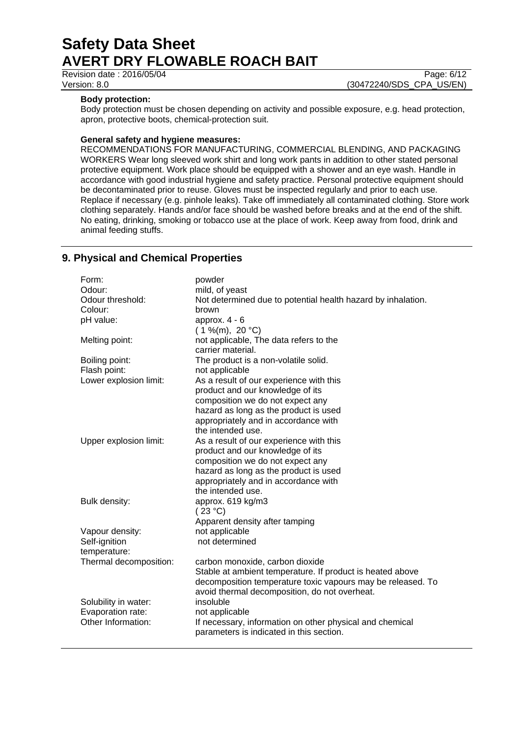**Revision date : 2016/05/04** Page: 6/12

Version: 8.0 (30472240/SDS\_CPA\_US/EN)

# **Body protection:**

Body protection must be chosen depending on activity and possible exposure, e.g. head protection, apron, protective boots, chemical-protection suit.

# **General safety and hygiene measures:**

RECOMMENDATIONS FOR MANUFACTURING, COMMERCIAL BLENDING, AND PACKAGING WORKERS Wear long sleeved work shirt and long work pants in addition to other stated personal protective equipment. Work place should be equipped with a shower and an eye wash. Handle in accordance with good industrial hygiene and safety practice. Personal protective equipment should be decontaminated prior to reuse. Gloves must be inspected regularly and prior to each use. Replace if necessary (e.g. pinhole leaks). Take off immediately all contaminated clothing. Store work clothing separately. Hands and/or face should be washed before breaks and at the end of the shift. No eating, drinking, smoking or tobacco use at the place of work. Keep away from food, drink and animal feeding stuffs.

# **9. Physical and Chemical Properties**

| Form:                  | powder                                                       |
|------------------------|--------------------------------------------------------------|
| Odour:                 | mild, of yeast                                               |
| Odour threshold:       | Not determined due to potential health hazard by inhalation. |
| Colour:                | brown                                                        |
| pH value:              | approx. $4 - 6$                                              |
|                        | $(1\%$ (m), 20 °C)                                           |
| Melting point:         | not applicable, The data refers to the                       |
|                        | carrier material.                                            |
| Boiling point:         | The product is a non-volatile solid.                         |
| Flash point:           | not applicable                                               |
| Lower explosion limit: | As a result of our experience with this                      |
|                        | product and our knowledge of its                             |
|                        | composition we do not expect any                             |
|                        | hazard as long as the product is used                        |
|                        | appropriately and in accordance with                         |
|                        | the intended use.                                            |
| Upper explosion limit: | As a result of our experience with this                      |
|                        | product and our knowledge of its                             |
|                        | composition we do not expect any                             |
|                        | hazard as long as the product is used                        |
|                        | appropriately and in accordance with                         |
|                        | the intended use.                                            |
| Bulk density:          | approx. 619 kg/m3                                            |
|                        | (23 °C)                                                      |
|                        | Apparent density after tamping                               |
| Vapour density:        | not applicable                                               |
| Self-ignition          | not determined                                               |
| temperature:           |                                                              |
| Thermal decomposition: | carbon monoxide, carbon dioxide                              |
|                        | Stable at ambient temperature. If product is heated above    |
|                        | decomposition temperature toxic vapours may be released. To  |
|                        | avoid thermal decomposition, do not overheat.                |
| Solubility in water:   | insoluble                                                    |
| Evaporation rate:      | not applicable                                               |
| Other Information:     | If necessary, information on other physical and chemical     |
|                        | parameters is indicated in this section.                     |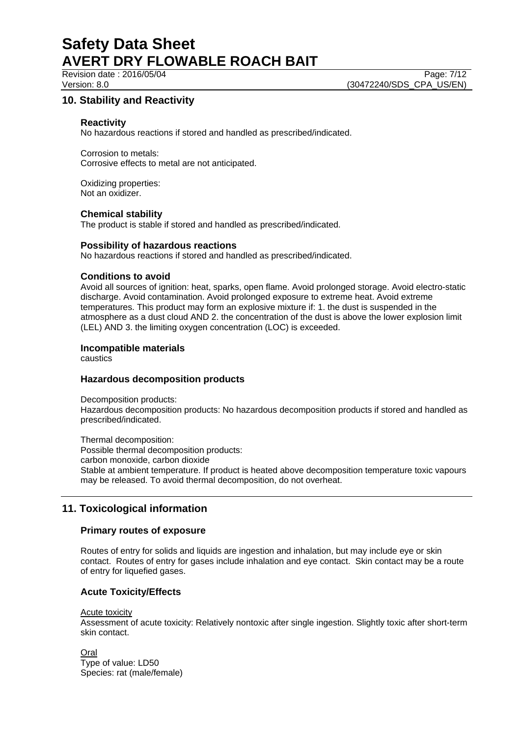Revision date : 2016/05/04 Page: 7/12

Version: 8.0 (30472240/SDS\_CPA\_US/EN)

# **10. Stability and Reactivity**

# **Reactivity**

No hazardous reactions if stored and handled as prescribed/indicated.

Corrosion to metals: Corrosive effects to metal are not anticipated.

Oxidizing properties: Not an oxidizer.

## **Chemical stability**

The product is stable if stored and handled as prescribed/indicated.

#### **Possibility of hazardous reactions**

No hazardous reactions if stored and handled as prescribed/indicated.

## **Conditions to avoid**

Avoid all sources of ignition: heat, sparks, open flame. Avoid prolonged storage. Avoid electro-static discharge. Avoid contamination. Avoid prolonged exposure to extreme heat. Avoid extreme temperatures. This product may form an explosive mixture if: 1. the dust is suspended in the atmosphere as a dust cloud AND 2. the concentration of the dust is above the lower explosion limit (LEL) AND 3. the limiting oxygen concentration (LOC) is exceeded.

## **Incompatible materials**

caustics

# **Hazardous decomposition products**

Decomposition products: Hazardous decomposition products: No hazardous decomposition products if stored and handled as prescribed/indicated.

Thermal decomposition: Possible thermal decomposition products: carbon monoxide, carbon dioxide Stable at ambient temperature. If product is heated above decomposition temperature toxic vapours may be released. To avoid thermal decomposition, do not overheat.

# **11. Toxicological information**

## **Primary routes of exposure**

Routes of entry for solids and liquids are ingestion and inhalation, but may include eye or skin contact. Routes of entry for gases include inhalation and eye contact. Skin contact may be a route of entry for liquefied gases.

# **Acute Toxicity/Effects**

#### Acute toxicity

Assessment of acute toxicity: Relatively nontoxic after single ingestion. Slightly toxic after short-term skin contact.

Oral Type of value: LD50 Species: rat (male/female)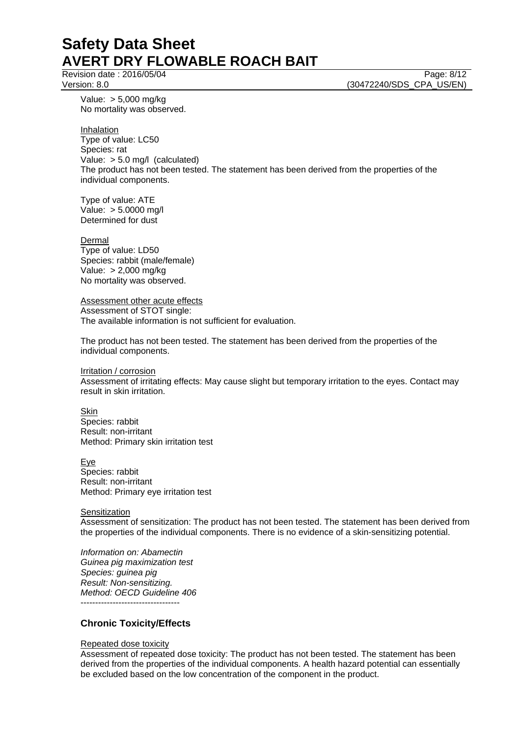Revision date : 2016/05/04 Page: 8/12

Version: 8.0 **(30472240/SDS\_CPA\_US/EN)** 

Value: > 5,000 mg/kg No mortality was observed.

Inhalation Type of value: LC50 Species: rat Value: > 5.0 mg/l (calculated) The product has not been tested. The statement has been derived from the properties of the individual components.

Type of value: ATE Value: > 5.0000 mg/l Determined for dust

Dermal Type of value: LD50 Species: rabbit (male/female) Value: > 2,000 mg/kg No mortality was observed.

Assessment other acute effects Assessment of STOT single: The available information is not sufficient for evaluation.

The product has not been tested. The statement has been derived from the properties of the individual components.

Irritation / corrosion Assessment of irritating effects: May cause slight but temporary irritation to the eyes. Contact may result in skin irritation.

**Skin** Species: rabbit Result: non-irritant Method: Primary skin irritation test

Eye Species: rabbit Result: non-irritant Method: Primary eye irritation test

**Sensitization** 

Assessment of sensitization: The product has not been tested. The statement has been derived from the properties of the individual components. There is no evidence of a skin-sensitizing potential.

*Information on: Abamectin Guinea pig maximization test Species: guinea pig Result: Non-sensitizing. Method: OECD Guideline 406* ----------------------------------

# **Chronic Toxicity/Effects**

## Repeated dose toxicity

Assessment of repeated dose toxicity: The product has not been tested. The statement has been derived from the properties of the individual components. A health hazard potential can essentially be excluded based on the low concentration of the component in the product.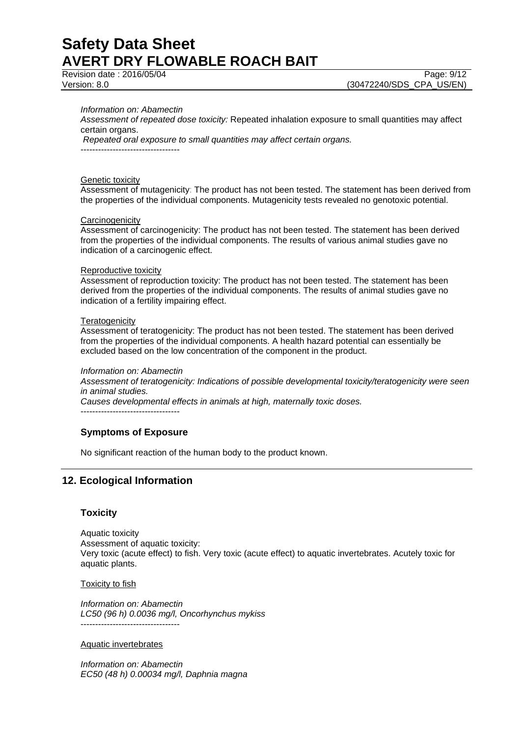Revision date : 2016/05/04 Page: 9/12

#### *Information on: Abamectin*

*Assessment of repeated dose toxicity:* Repeated inhalation exposure to small quantities may affect certain organs.

*Repeated oral exposure to small quantities may affect certain organs.*

----------------------------------

#### Genetic toxicity

Assessment of mutagenicity: The product has not been tested. The statement has been derived from the properties of the individual components. Mutagenicity tests revealed no genotoxic potential.

#### **Carcinogenicity**

Assessment of carcinogenicity: The product has not been tested. The statement has been derived from the properties of the individual components. The results of various animal studies gave no indication of a carcinogenic effect.

#### Reproductive toxicity

Assessment of reproduction toxicity: The product has not been tested. The statement has been derived from the properties of the individual components. The results of animal studies gave no indication of a fertility impairing effect.

#### **Teratogenicity**

Assessment of teratogenicity: The product has not been tested. The statement has been derived from the properties of the individual components. A health hazard potential can essentially be excluded based on the low concentration of the component in the product.

#### *Information on: Abamectin*

*Assessment of teratogenicity: Indications of possible developmental toxicity/teratogenicity were seen in animal studies.*

*Causes developmental effects in animals at high, maternally toxic doses.*

----------------------------------

# **Symptoms of Exposure**

No significant reaction of the human body to the product known.

# **12. Ecological Information**

# **Toxicity**

Aquatic toxicity Assessment of aquatic toxicity: Very toxic (acute effect) to fish. Very toxic (acute effect) to aquatic invertebrates. Acutely toxic for aquatic plants.

#### Toxicity to fish

*Information on: Abamectin LC50 (96 h) 0.0036 mg/l, Oncorhynchus mykiss* ----------------------------------

## Aquatic invertebrates

*Information on: Abamectin EC50 (48 h) 0.00034 mg/l, Daphnia magna*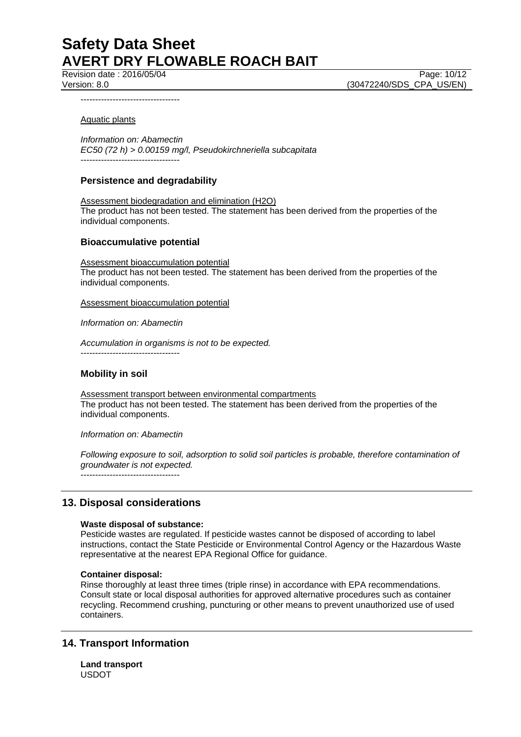Revision date : 2016/05/04 Page: 10/12

Version: 8.0 (30472240/SDS\_CPA\_US/EN)

----------------------------------

#### Aquatic plants

*Information on: Abamectin EC50 (72 h) > 0.00159 mg/l, Pseudokirchneriella subcapitata* ----------------------------------

# **Persistence and degradability**

Assessment biodegradation and elimination (H2O) The product has not been tested. The statement has been derived from the properties of the individual components.

## **Bioaccumulative potential**

Assessment bioaccumulation potential The product has not been tested. The statement has been derived from the properties of the individual components.

Assessment bioaccumulation potential

*Information on: Abamectin*

*Accumulation in organisms is not to be expected.* ----------------------------------

## **Mobility in soil**

Assessment transport between environmental compartments The product has not been tested. The statement has been derived from the properties of the individual components.

*Information on: Abamectin*

*Following exposure to soil, adsorption to solid soil particles is probable, therefore contamination of groundwater is not expected.* ----------------------------------

# **13. Disposal considerations**

## **Waste disposal of substance:**

Pesticide wastes are regulated. If pesticide wastes cannot be disposed of according to label instructions, contact the State Pesticide or Environmental Control Agency or the Hazardous Waste representative at the nearest EPA Regional Office for guidance.

## **Container disposal:**

Rinse thoroughly at least three times (triple rinse) in accordance with EPA recommendations. Consult state or local disposal authorities for approved alternative procedures such as container recycling. Recommend crushing, puncturing or other means to prevent unauthorized use of used containers.

# **14. Transport Information**

**Land transport** USDOT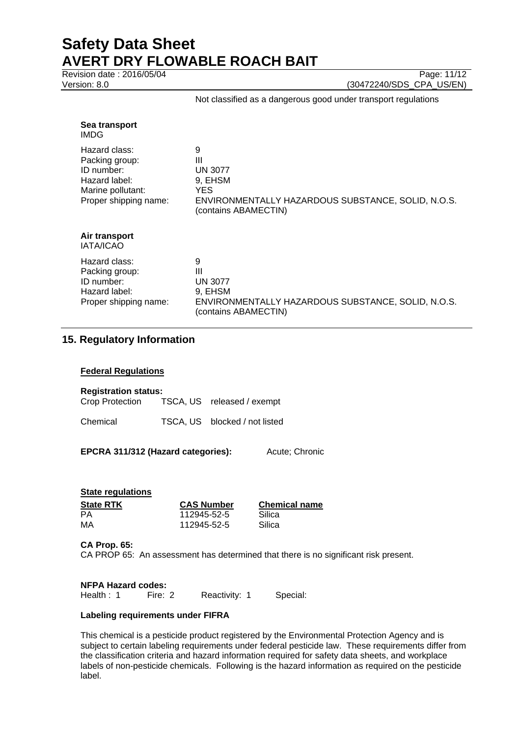Revision date : 2016/05/04 Page: 11/12

Version: 8.0 (30472240/SDS\_CPA\_US/EN)

#### Not classified as a dangerous good under transport regulations

| Sea transport<br>IMDG                                                                                        |                                                                                                                           |
|--------------------------------------------------------------------------------------------------------------|---------------------------------------------------------------------------------------------------------------------------|
| Hazard class:<br>Packing group:<br>ID number:<br>Hazard label:<br>Marine pollutant:<br>Proper shipping name: | 9<br>Ш<br><b>UN 3077</b><br>9, EHSM<br>YES.<br>ENVIRONMENTALLY HAZARDOUS SUBSTANCE, SOLID, N.O.S.<br>(contains ABAMECTIN) |
| Air transport<br><b>IATA/ICAO</b>                                                                            |                                                                                                                           |
| Hazard class:<br>Packing group:<br>ID number:<br>Hazard label:<br>Proper shipping name:                      | 9<br>Ш<br><b>UN 3077</b><br>9, EHSM<br>ENVIRONMENTALLY HAZARDOUS SUBSTANCE, SOLID, N.O.S.<br>(contains ABAMECTIN)         |

# **15. Regulatory Information**

# **Federal Regulations**

| <b>Registration status:</b>                |  |                               |  |  |
|--------------------------------------------|--|-------------------------------|--|--|
| Crop Protection TSCA, US released / exempt |  |                               |  |  |
| Chemical                                   |  | TSCA, US blocked / not listed |  |  |

**EPCRA 311/312 (Hazard categories):** Acute; Chronic

| <b>CAS Number</b> | <b>Chemical name</b> |
|-------------------|----------------------|
| 112945-52-5       | Silica               |
| 112945-52-5       | Silica               |
|                   |                      |

**CA Prop. 65:**

CA PROP 65: An assessment has determined that there is no significant risk present.

**NFPA Hazard codes:** Health : 1 Fire: 2 Reactivity: 1 Special:

## **Labeling requirements under FIFRA**

This chemical is a pesticide product registered by the Environmental Protection Agency and is subject to certain labeling requirements under federal pesticide law. These requirements differ from the classification criteria and hazard information required for safety data sheets, and workplace labels of non-pesticide chemicals. Following is the hazard information as required on the pesticide label.